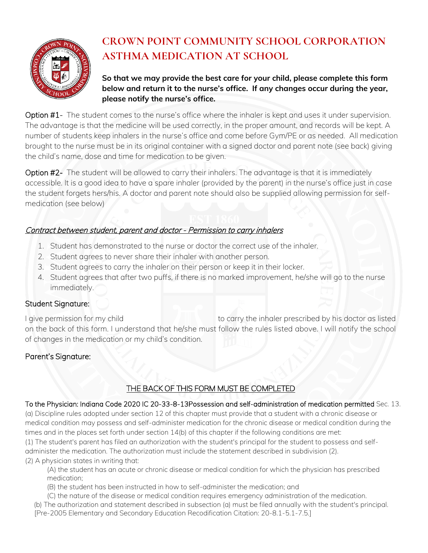

# **CROWN POINT COMMUNITY SCHOOL CORPORATION ASTHMA MEDICATION AT SCHOOL**

**So that we may provide the best care for your child, please complete this form below and return it to the nurse's office. If any changes occur during the year, please notify the nurse's office.**

Option #1- The student comes to the nurse's office where the inhaler is kept and uses it under supervision. The advantage is that the medicine will be used correctly, in the proper amount, and records will be kept. A number of students keep inhalers in the nurse's office and come before Gym/PE or as needed. All medication brought to the nurse must be in its original container with a signed doctor and parent note (see back) giving the child's name, dose and time for medication to be given.

Option #2- The student will be allowed to carry their inhalers. The advantage is that it is immediately accessible. It is a good idea to have a spare inhaler (provided by the parent) in the nurse's office just in case the student forgets hers/his. A doctor and parent note should also be supplied allowing permission for selfmedication (see below)

## Contract between student, parent and doctor - Permission to carry inhalers

- 1. Student has demonstrated to the nurse or doctor the correct use of the inhaler.
- 2. Student agrees to never share their inhaler with another person.
- 3. Student agrees to carry the inhaler on their person or keep it in their locker.
- 4. Student agrees that after two puffs, if there is no marked improvement, he/she will go to the nurse immediately.

#### Student Signature:

I give permission for my child to carry the inhaler prescribed by his doctor as listed on the back of this form. I understand that he/she must follow the rules listed above. I will notify the school of changes in the medication or my child's condition.

## Parent's Signature:

## THE BACK OF THIS FORM MUST BE COMPLETED

To the Physician: Indiana Code 2020 IC 20-33-8-13Possession and self-administration of medication permitted Sec. 13. (a) Discipline rules adopted under section 12 of this chapter must provide that a student with a chronic disease or medical condition may possess and self-administer medication for the chronic disease or medical condition during the times and in the places set forth under section 14(b) of this chapter if the following conditions are met:

(1) The student's parent has filed an authorization with the student's principal for the student to possess and selfadminister the medication. The authorization must include the statement described in subdivision (2). (2) A physician states in writing that:

(A) the student has an acute or chronic disease or medical condition for which the physician has prescribed medication;

- (B) the student has been instructed in how to self-administer the medication; and
- (C) the nature of the disease or medical condition requires emergency administration of the medication.

(b) The authorization and statement described in subsection (a) must be filed annually with the student's principal. [Pre-2005 Elementary and Secondary Education Recodification Citation: 20-8.1-5.1-7.5.]